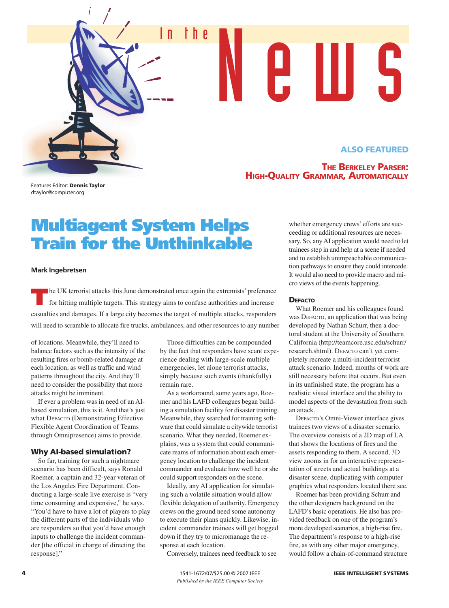# **ALSO FEATURED**

# **THE BERKELEY PARSER: HIGH-QUALITY GRAMMAR, AUTOMATICALLY**

In the New US

Features Editor: **Dennis Taylor** dtaylor@computer.org

# **Multiagent System Helps Train for the Unthinkable**

#### **Mark Ingebretsen**

**The UK terrorist attacks this June demonstrated once again the extremists' preference for hitting multiple targets. This strategy aims to confuse authorities and increase** casualties and damages. If a large city becomes the target of multiple attacks, responders will need to scramble to allocate fire trucks, ambulances, and other resources to any number

of locations. Meanwhile, they'll need to balance factors such as the intensity of the resulting fires or bomb-related damage at each location, as well as traffic and wind patterns throughout the city. And they'll need to consider the possibility that more attacks might be imminent.

If ever a problem was in need of an AIbased simulation, this is it. And that's just what DEFACTO (Demonstrating Effective Flexible Agent Coordination of Teams through Omnipresence) aims to provide.

## **Why AI-based simulation?**

So far, training for such a nightmare scenario has been difficult, says Ronald Roemer, a captain and 32-year veteran of the Los Angeles Fire Department. Conducting a large-scale live exercise is "very time consuming and expensive," he says. "You'd have to have a lot of players to play the different parts of the individuals who are responders so that you'd have enough inputs to challenge the incident commander [the official in charge of directing the response]."

Those difficulties can be compounded by the fact that responders have scant experience dealing with large-scale multiple emergencies, let alone terrorist attacks, simply because such events (thankfully) remain rare.

As a workaround, some years ago, Roemer and his LAFD colleagues began building a simulation facility for disaster training. Meanwhile, they searched for training software that could simulate a citywide terrorist scenario. What they needed, Roemer explains, was a system that could communicate reams of information about each emergency location to challenge the incident commander and evaluate how well he or she could support responders on the scene.

Ideally, any AI application for simulating such a volatile situation would allow flexible delegation of authority. Emergency crews on the ground need some autonomy to execute their plans quickly. Likewise, incident commander trainees will get bogged down if they try to micromanage the response at each location.

Conversely, trainees need feedback to see

whether emergency crews' efforts are succeeding or additional resources are necessary. So, any AI application would need to let trainees step in and help at a scene if needed and to establish unimpeachable communication pathways to ensure they could intercede. It would also need to provide macro and micro views of the events happening.

#### **DEFACTO**

What Roemer and his colleagues found was DEFACTO, an application that was being developed by Nathan Schurr, then a doctoral student at the University of Southern California (http://teamcore.usc.edu/schurr/ research.shtml). DEFACTO can't yet completely recreate a multi-incident terrorist attack scenario. Indeed, months of work are still necessary before that occurs. But even in its unfinished state, the program has a realistic visual interface and the ability to model aspects of the devastation from such an attack.

DEFACTO's Omni-Viewer interface gives trainees two views of a disaster scenario. The overview consists of a 2D map of LA that shows the locations of fires and the assets responding to them. A second, 3D view zooms in for an interactive representation of streets and actual buildings at a disaster scene, duplicating with computer graphics what responders located there see.

Roemer has been providing Schurr and the other designers background on the LAFD's basic operations. He also has provided feedback on one of the program's more developed scenarios, a high-rise fire. The department's response to a high-rise fire, as with any other major emergency, would follow a chain-of-command structure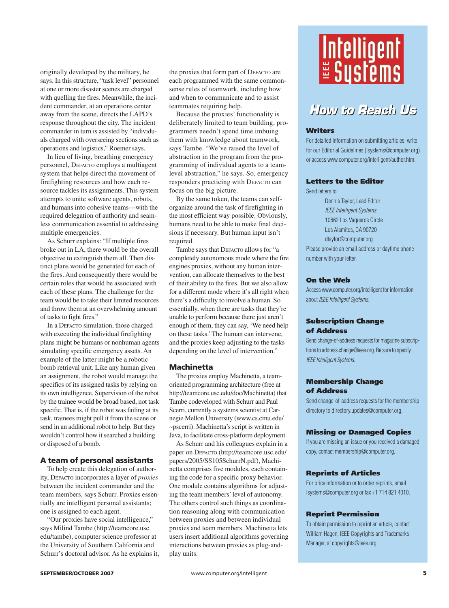originally developed by the military, he says. In this structure, "task level" personnel at one or more disaster scenes are charged with quelling the fires. Meanwhile, the incident commander, at an operations center away from the scene, directs the LAPD's response throughout the city. The incident commander in turn is assisted by "individuals charged with overseeing sections such as operations and logistics," Roemer says.

In lieu of living, breathing emergency personnel, DEFACTO employs a multiagent system that helps direct the movement of firefighting resources and how each resource tackles its assignments. This system attempts to unite software agents, robots, and humans into cohesive teams—with the required delegation of authority and seamless communication essential to addressing multiple emergencies.

As Schurr explains: "If multiple fires broke out in LA, there would be the overall objective to extinguish them all. Then distinct plans would be generated for each of the fires. And consequently there would be certain roles that would be associated with each of these plans. The challenge for the team would be to take their limited resources and throw them at an overwhelming amount of tasks to fight fires."

In a DEFACTO simulation, those charged with executing the individual firefighting plans might be humans or nonhuman agents simulating specific emergency assets. An example of the latter might be a robotic bomb retrieval unit. Like any human given an assignment, the robot would manage the specifics of its assigned tasks by relying on its own intelligence. Supervision of the robot by the trainee would be broad based, not task specific. That is, if the robot was failing at its task, trainees might pull it from the scene or send in an additional robot to help. But they wouldn't control how it searched a building or disposed of a bomb.

# **A team of personal assistants**

To help create this delegation of authority, DEFACTO incorporates a layer of *proxies* between the incident commander and the team members, says Schurr. Proxies essentially are intelligent personal assistants; one is assigned to each agent.

"Our proxies have social intelligence," says Milind Tambe (http://teamcore.usc. edu/tambe), computer science professor at the University of Southern California and Schurr's doctoral advisor. As he explains it,

the proxies that form part of DEFACTO are each programmed with the same commonsense rules of teamwork, including how and when to communicate and to assist teammates requiring help.

Because the proxies' functionality is deliberately limited to team building, programmers needn't spend time imbuing them with knowledge about teamwork, says Tambe. "We've raised the level of abstraction in the program from the programming of individual agents to a teamlevel abstraction," he says. So, emergency responders practicing with DEFACTO can focus on the big picture.

By the same token, the teams can selforganize around the task of firefighting in the most efficient way possible. Obviously, humans need to be able to make final decisions if necessary. But human input isn't required.

Tambe says that DEFACTO allows for "a completely autonomous mode where the fire engines proxies, without any human intervention, can allocate themselves to the best of their ability to the fires. But we also allow for a different mode where it's all right when there's a difficulty to involve a human. So essentially, when there are tasks that they're unable to perform because there just aren't enough of them, they can say, 'We need help on these tasks.' The human can intervene, and the proxies keep adjusting to the tasks depending on the level of intervention."

#### **Machinetta**

The proxies employ Machinetta, a teamoriented programming architecture (free at http://teamcore.usc.edu/doc/Machinetta) that Tambe codeveloped with Schurr and Paul Scerri, currently a systems scientist at Carnegie Mellon University (www.cs.cmu.edu/ ~pscerri). Machinetta's script is written in Java, to facilitate cross-platform deployment.

As Schurr and his colleagues explain in a paper on DEFACTO (http://teamcore.usc.edu/ papers/2005/SS105SchurrN.pdf), Machinetta comprises five modules, each containing the code for a specific proxy behavior. One module contains algorithms for adjusting the team members' level of autonomy. The others control such things as coordination reasoning along with communication between proxies and between individual proxies and team members. Machinetta lets users insert additional algorithms governing interactions between proxies as plug-andplay units.



# **How to Reach Us**

## **Writers**

For detailed information on submitting articles, write for our Editorial Guidelines (isystems@computer.org) or access www.computer.org/intelligent/author.htm.

# **Letters to the Editor**

Send letters to

Dennis Taylor, Lead Editor IEEE Intelligent Systems 10662 Los Vaqueros Circle Los Alamitos, CA 90720 dtaylor@computer.org Please provide an email address or daytime phone number with your letter. **Example 18 (19) 19)**<br> **Consider the Consider Science Considers (19) 19)**<br> **Consider the Editer**<br>
For detailed information on submit<br>
for our Editorial Guidelines (isyster<br>
or access www.computer.org/intel<br> **Letters to the** 

#### **On the Web**

Access www.computer.org/intelligent for information about IEEE Intelligent Systems.

# **Subscription Change of Address**

Send change-of-address requests for magazine subscriptions to address.change@ieee.org. Be sure to specify IEEE Intelligent Systems.

## **Membership Change of Address**

Send change-of-address requests for the membership directory to directory.updates@computer.org.

#### **Missing or Damaged Copies**

If you are missing an issue or you received a damaged copy, contact membership@computer.org.

#### **Reprints of Articles**

For price information or to order reprints, email isystems@computer.org or fax +1 714 821 4010.

#### **Reprint Permission**

To obtain permission to reprint an article, contact William Hagen, IEEE Copyrights and Trademarks Manager, at copyrights@ieee.org.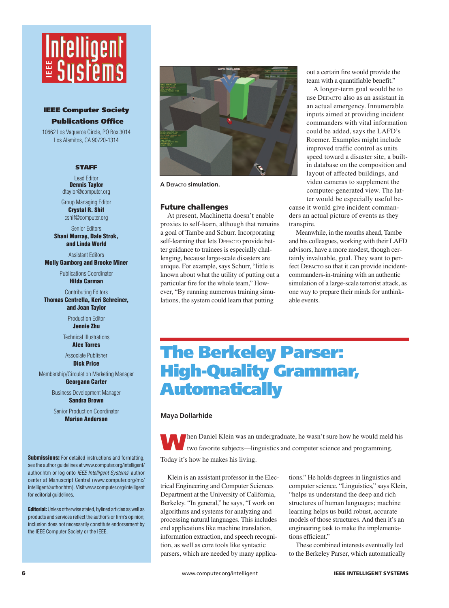# Intelligent<br><mark>E Systems</mark>

# **IEEE Computer Society Publications Office**

10662 Los Vaqueros Circle, PO Box 3014 Los Alamitos, CA 90720-1314

#### **STAFF**

Lead Editor **Dennis Taylor** dtaylor@computer.org

Group Managing Editor **Crystal R. Shif** cshif@computer.org

Senior Editors

**Shani Murray, Dale Strok, and Linda World**

Assistant Editors **Molly Gamborg and Brooke Miner**

Publications Coordinator

**Hilda Carman**

Contributing Editors

**Thomas Centrella, Keri Schreiner, and Joan Taylor**

> Production Editor **Jennie Zhu**

Technical Illustrations **Alex Torres**

Associate Publisher **Dick Price**

Membership/Circulation Marketing Manager **Georgann Carter**

> Business Development Manager **Sandra Brown**

Senior Production Coordinator **Marian Anderson**

**Submissions:** For detailed instructions and formatting, see the author guidelines at www.computer.org/intelligent/ author.htm or log onto IEEE Intelligent Systems' author center at Manuscript Central (www.computer.org/mc/ intelligent/author.htm). Visit www.computer.org/intelligent for editorial guidelines. **EXERCTS CONSUMERED SOCIETS CONSUMERED SOCIETS CONSUMERED 10662 Los Vaqueros Circle, PC<br>
Los Alamitos, CA 90720-<br>
STAFF<br>
Lead Editor<br>
Dennis Taylor<br>
dtaylor@compute.or<br>
Group Managing Edit<br>
Crystal R. Shift<br>
cshiff@compute** 

**Editorial:**Unless otherwise stated, bylined articles as well as products and services reflect the author's or firm's opinion; inclusion does not necessarily constitute endorsement by the IEEE Computer Society or the IEEE.



**A DEFACTO simulation.** 

#### **Future challenges**

At present, Machinetta doesn't enable proxies to self-learn, although that remains a goal of Tambe and Schurr. Incorporating self-learning that lets DEFACTO provide better guidance to trainees is especially challenging, because large-scale disasters are unique. For example, says Schurr, "little is known about what the utility of putting out a particular fire for the whole team," However, "By running numerous training simulations, the system could learn that putting

out a certain fire would provide the team with a quantifiable benefit."

A longer-term goal would be to use DEFACTO also as an assistant in an actual emergency. Innumerable inputs aimed at providing incident commanders with vital information could be added, says the LAFD's Roemer. Examples might include improved traffic control as units speed toward a disaster site, a builtin database on the composition and layout of affected buildings, and video cameras to supplement the computer-generated view. The latter would be especially useful be-

cause it would give incident commanders an actual picture of events as they transpire.

Meanwhile, in the months ahead, Tambe and his colleagues, working with their LAFD advisors, have a more modest, though certainly invaluable, goal. They want to perfect DEFACTO so that it can provide incidentcommanders-in-training with an authentic simulation of a large-scale terrorist attack, as one way to prepare their minds for unthinkable events.

# **The Berkeley Parser: High-Quality Grammar, Automatically**

#### **Maya Dollarhide**

**WARED AND THE UP IN THE UP IS NOTE AND AND THE UP IS TO A THE UP IS TO A THE UP IS TO A THE UP IS TO A THE UP IS TO A THE UP IS TO A THE UP IS TO A THE UP IS TO A THE UP IS TO A THE UP IS TO A THE UP IS TO A THE UP IS TO** Today it's how he makes his living.

Klein is an assistant professor in the Electrical Engineering and Computer Sciences Department at the University of California, Berkeley. "In general," he says, "I work on algorithms and systems for analyzing and processing natural languages. This includes end applications like machine translation, information extraction, and speech recognition, as well as core tools like syntactic parsers, which are needed by many applications." He holds degrees in linguistics and computer science. "Linguistics," says Klein, "helps us understand the deep and rich structures of human languages; machine learning helps us build robust, accurate models of those structures. And then it's an engineering task to make the implementations efficient."

These combined interests eventually led to the Berkeley Parser, which automatically